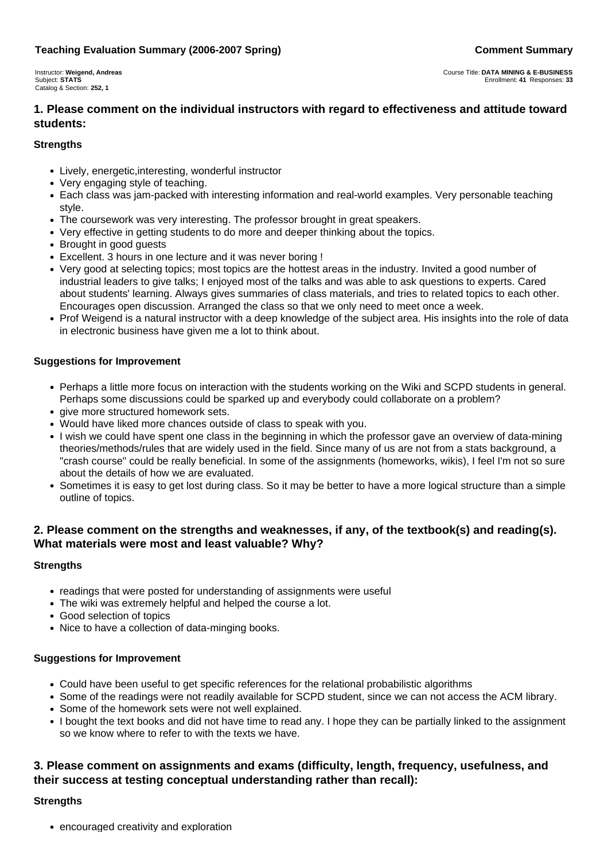#### **Teaching Evaluation Summary (2006-2007 Spring) Comment Summary Comment Summary**

Instructor: **Weigend, Andreas** Subject: **STATS** Catalog & Section: **252, 1**

# **1. Please comment on the individual instructors with regard to effectiveness and attitude toward students:**

#### **Strengths**

- Lively, energetic,interesting, wonderful instructor
- Very engaging style of teaching.
- Each class was jam-packed with interesting information and real-world examples. Very personable teaching style.
- The coursework was very interesting. The professor brought in great speakers.
- Very effective in getting students to do more and deeper thinking about the topics.
- Brought in good guests
- Excellent. 3 hours in one lecture and it was never boring !
- Very good at selecting topics; most topics are the hottest areas in the industry. Invited a good number of industrial leaders to give talks; I enjoyed most of the talks and was able to ask questions to experts. Cared about students' learning. Always gives summaries of class materials, and tries to related topics to each other. Encourages open discussion. Arranged the class so that we only need to meet once a week.
- Prof Weigend is a natural instructor with a deep knowledge of the subject area. His insights into the role of data in electronic business have given me a lot to think about.

#### **Suggestions for Improvement**

- Perhaps a little more focus on interaction with the students working on the Wiki and SCPD students in general. Perhaps some discussions could be sparked up and everybody could collaborate on a problem?
- give more structured homework sets.
- Would have liked more chances outside of class to speak with you.
- I wish we could have spent one class in the beginning in which the professor gave an overview of data-mining theories/methods/rules that are widely used in the field. Since many of us are not from a stats background, a "crash course" could be really beneficial. In some of the assignments (homeworks, wikis), I feel I'm not so sure about the details of how we are evaluated.
- Sometimes it is easy to get lost during class. So it may be better to have a more logical structure than a simple outline of topics.

# **2. Please comment on the strengths and weaknesses, if any, of the textbook(s) and reading(s). What materials were most and least valuable? Why?**

#### **Strengths**

- readings that were posted for understanding of assignments were useful
- The wiki was extremely helpful and helped the course a lot.
- Good selection of topics
- Nice to have a collection of data-minging books.

#### **Suggestions for Improvement**

- Could have been useful to get specific references for the relational probabilistic algorithms
- Some of the readings were not readily available for SCPD student, since we can not access the ACM library.
- Some of the homework sets were not well explained.
- I bought the text books and did not have time to read any. I hope they can be partially linked to the assignment so we know where to refer to with the texts we have.

# **3. Please comment on assignments and exams (difficulty, length, frequency, usefulness, and their success at testing conceptual understanding rather than recall):**

#### **Strengths**

• encouraged creativity and exploration